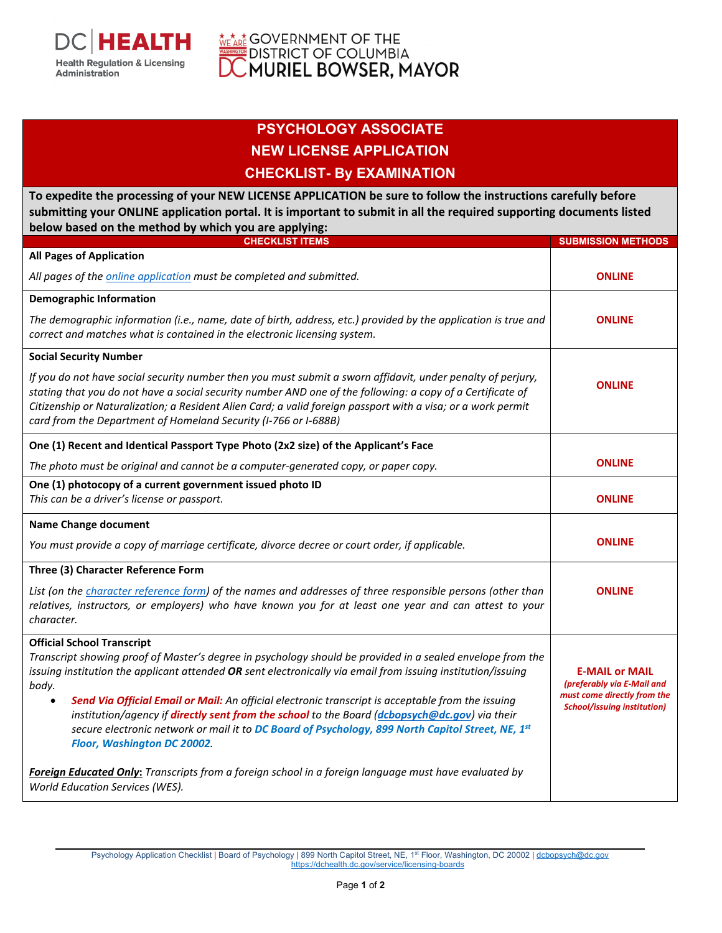

## **WEARE GOVERNMENT OF THE SOLUMBIA**<br>A BOSTRICT OF COLUMBIA<br>**DC MURIEL BOWSER, MAYOR**

## **PSYCHOLOGY ASSOCIATE NEW LICENSE APPLICATION CHECKLIST- By EXAMINATION**

**To expedite the processing of your NEW LICENSE APPLICATION be sure to follow the instructions carefully before submitting your ONLINE application portal. It is important to submit in all the required supporting documents listed below based on the method by which you are applying:**

| $\sim$<br>$\sim$ סייי ניקקש ביש מס<br><b>CHECKLIST ITEMS</b>                                                                                                                                                                                                                                                                                                                                                 | <b>SUBMISSION METHODS</b>                                                                                                |
|--------------------------------------------------------------------------------------------------------------------------------------------------------------------------------------------------------------------------------------------------------------------------------------------------------------------------------------------------------------------------------------------------------------|--------------------------------------------------------------------------------------------------------------------------|
| <b>All Pages of Application</b>                                                                                                                                                                                                                                                                                                                                                                              |                                                                                                                          |
| All pages of the <i>online application</i> must be completed and submitted.                                                                                                                                                                                                                                                                                                                                  | <b>ONLINE</b>                                                                                                            |
| <b>Demographic Information</b>                                                                                                                                                                                                                                                                                                                                                                               |                                                                                                                          |
| The demographic information (i.e., name, date of birth, address, etc.) provided by the application is true and<br>correct and matches what is contained in the electronic licensing system.                                                                                                                                                                                                                  | <b>ONLINE</b>                                                                                                            |
| <b>Social Security Number</b>                                                                                                                                                                                                                                                                                                                                                                                |                                                                                                                          |
| If you do not have social security number then you must submit a sworn affidavit, under penalty of perjury,<br>stating that you do not have a social security number AND one of the following: a copy of a Certificate of<br>Citizenship or Naturalization; a Resident Alien Card; a valid foreign passport with a visa; or a work permit<br>card from the Department of Homeland Security (I-766 or I-688B) | <b>ONLINE</b>                                                                                                            |
| One (1) Recent and Identical Passport Type Photo (2x2 size) of the Applicant's Face                                                                                                                                                                                                                                                                                                                          | <b>ONLINE</b>                                                                                                            |
| The photo must be original and cannot be a computer-generated copy, or paper copy.                                                                                                                                                                                                                                                                                                                           |                                                                                                                          |
| One (1) photocopy of a current government issued photo ID<br>This can be a driver's license or passport.                                                                                                                                                                                                                                                                                                     | <b>ONLINE</b>                                                                                                            |
| <b>Name Change document</b>                                                                                                                                                                                                                                                                                                                                                                                  |                                                                                                                          |
| You must provide a copy of marriage certificate, divorce decree or court order, if applicable.                                                                                                                                                                                                                                                                                                               | <b>ONLINE</b>                                                                                                            |
| Three (3) Character Reference Form                                                                                                                                                                                                                                                                                                                                                                           |                                                                                                                          |
| List (on the character reference form) of the names and addresses of three responsible persons (other than<br>relatives, instructors, or employers) who have known you for at least one year and can attest to your<br>character.                                                                                                                                                                            | <b>ONLINE</b>                                                                                                            |
| <b>Official School Transcript</b>                                                                                                                                                                                                                                                                                                                                                                            |                                                                                                                          |
| Transcript showing proof of Master's degree in psychology should be provided in a sealed envelope from the<br>issuing institution the applicant attended OR sent electronically via email from issuing institution/issuing<br>body.                                                                                                                                                                          | <b>E-MAIL or MAIL</b><br>(preferably via E-Mail and<br>must come directly from the<br><b>School/issuing institution)</b> |
| Send Via Official Email or Mail: An official electronic transcript is acceptable from the issuing<br>$\bullet$<br>institution/agency if directly sent from the school to the Board (dcbopsych@dc.gov) via their<br>secure electronic network or mail it to DC Board of Psychology, 899 North Capitol Street, NE, 1st<br>Floor, Washington DC 20002.                                                          |                                                                                                                          |
| Foreign Educated Only: Transcripts from a foreign school in a foreign language must have evaluated by<br>World Education Services (WES).                                                                                                                                                                                                                                                                     |                                                                                                                          |

Psychology Application Checklist | Board of Psychology | 899 North Capitol Street, NE, 1st Floor, Washington, DC 20002 | [dcbopsych@dc.gov](mailto:dcbopsych@dc.gov) <https://dchealth.dc.gov/service/licensing-boards>